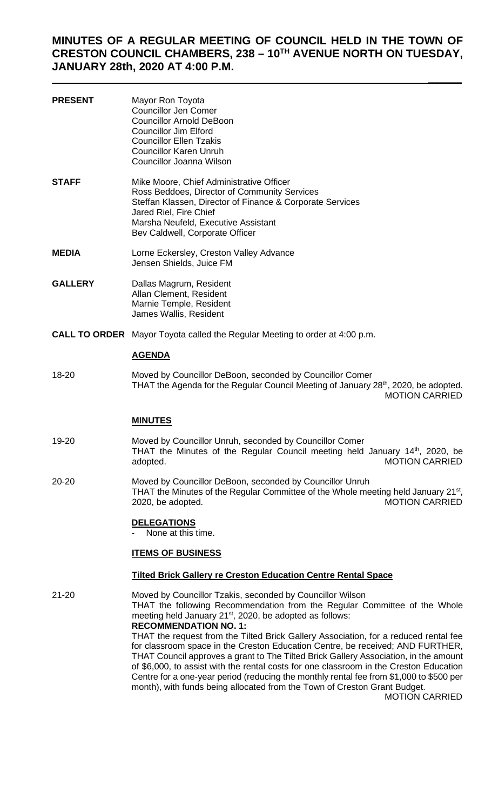# **MINUTES OF A REGULAR MEETING OF COUNCIL HELD IN THE TOWN OF CRESTON COUNCIL CHAMBERS, 238 – 10TH AVENUE NORTH ON TUESDAY, JANUARY 28th, 2020 AT 4:00 P.M.**

| <b>PRESENT</b> | Mayor Ron Toyota<br><b>Councillor Jen Comer</b><br><b>Councillor Arnold DeBoon</b><br><b>Councillor Jim Elford</b><br><b>Councillor Ellen Tzakis</b><br><b>Councillor Karen Unruh</b><br>Councillor Joanna Wilson                                                                                                                                                                                                                                                                                                                                                                                          |
|----------------|------------------------------------------------------------------------------------------------------------------------------------------------------------------------------------------------------------------------------------------------------------------------------------------------------------------------------------------------------------------------------------------------------------------------------------------------------------------------------------------------------------------------------------------------------------------------------------------------------------|
| <b>STAFF</b>   | Mike Moore, Chief Administrative Officer<br>Ross Beddoes, Director of Community Services<br>Steffan Klassen, Director of Finance & Corporate Services<br>Jared Riel, Fire Chief<br>Marsha Neufeld, Executive Assistant<br>Bev Caldwell, Corporate Officer                                                                                                                                                                                                                                                                                                                                                  |
| <b>MEDIA</b>   | Lorne Eckersley, Creston Valley Advance<br>Jensen Shields, Juice FM                                                                                                                                                                                                                                                                                                                                                                                                                                                                                                                                        |
| <b>GALLERY</b> | Dallas Magrum, Resident<br>Allan Clement, Resident<br>Marnie Temple, Resident<br>James Wallis, Resident                                                                                                                                                                                                                                                                                                                                                                                                                                                                                                    |
|                | <b>CALL TO ORDER</b> Mayor Toyota called the Regular Meeting to order at 4:00 p.m.                                                                                                                                                                                                                                                                                                                                                                                                                                                                                                                         |
|                | <b>AGENDA</b>                                                                                                                                                                                                                                                                                                                                                                                                                                                                                                                                                                                              |
| 18-20          | Moved by Councillor DeBoon, seconded by Councillor Comer<br>THAT the Agenda for the Regular Council Meeting of January 28 <sup>th</sup> , 2020, be adopted.<br><b>MOTION CARRIED</b>                                                                                                                                                                                                                                                                                                                                                                                                                       |
|                | <b>MINUTES</b>                                                                                                                                                                                                                                                                                                                                                                                                                                                                                                                                                                                             |
| 19-20          | Moved by Councillor Unruh, seconded by Councillor Comer<br>THAT the Minutes of the Regular Council meeting held January $14th$ , 2020, be<br><b>MOTION CARRIED</b><br>adopted.                                                                                                                                                                                                                                                                                                                                                                                                                             |
| 20-20          | Moved by Councillor DeBoon, seconded by Councillor Unruh<br>THAT the Minutes of the Regular Committee of the Whole meeting held January 21 <sup>st</sup> ,<br><b>MOTION CARRIED</b><br>2020, be adopted.                                                                                                                                                                                                                                                                                                                                                                                                   |
|                | <b>DELEGATIONS</b><br>None at this time.                                                                                                                                                                                                                                                                                                                                                                                                                                                                                                                                                                   |
|                | <b>ITEMS OF BUSINESS</b>                                                                                                                                                                                                                                                                                                                                                                                                                                                                                                                                                                                   |
|                | <b>Tilted Brick Gallery re Creston Education Centre Rental Space</b>                                                                                                                                                                                                                                                                                                                                                                                                                                                                                                                                       |
| 21-20          | Moved by Councillor Tzakis, seconded by Councillor Wilson<br>THAT the following Recommendation from the Regular Committee of the Whole<br>meeting held January 21 <sup>st</sup> , 2020, be adopted as follows:<br><b>RECOMMENDATION NO. 1:</b><br>THAT the request from the Tilted Brick Gallery Association, for a reduced rental fee<br>for classroom space in the Creston Education Centre, be received; AND FURTHER,<br>THAT Council approves a grant to The Tilted Brick Gallery Association, in the amount<br>of \$6,000, to assist with the rental costs for one classroom in the Creston Education |

Centre for a one-year period (reducing the monthly rental fee from \$1,000 to \$500 per

month), with funds being allocated from the Town of Creston Grant Budget. MOTION CARRIED

 $\frac{1}{2}$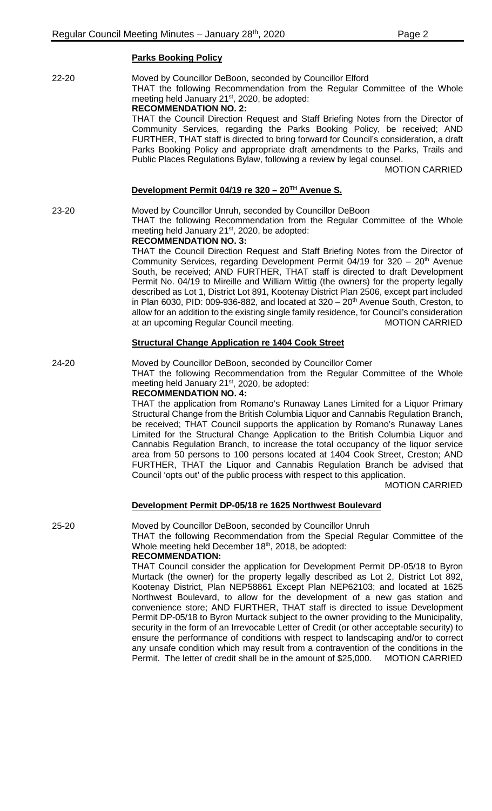# **Parks Booking Policy**

| 22-20     | Moved by Councillor DeBoon, seconded by Councillor Elford<br>THAT the following Recommendation from the Regular Committee of the Whole<br>meeting held January 21 <sup>st</sup> , 2020, be adopted:<br><b>RECOMMENDATION NO. 2:</b>                                                                                                                                                                                                                                                                                                                                                                                                                                                                                                                                                                                                                                                                                                                                                                                                                                                                        |
|-----------|------------------------------------------------------------------------------------------------------------------------------------------------------------------------------------------------------------------------------------------------------------------------------------------------------------------------------------------------------------------------------------------------------------------------------------------------------------------------------------------------------------------------------------------------------------------------------------------------------------------------------------------------------------------------------------------------------------------------------------------------------------------------------------------------------------------------------------------------------------------------------------------------------------------------------------------------------------------------------------------------------------------------------------------------------------------------------------------------------------|
|           | THAT the Council Direction Request and Staff Briefing Notes from the Director of<br>Community Services, regarding the Parks Booking Policy, be received; AND<br>FURTHER, THAT staff is directed to bring forward for Council's consideration, a draft<br>Parks Booking Policy and appropriate draft amendments to the Parks, Trails and<br>Public Places Regulations Bylaw, following a review by legal counsel.<br><b>MOTION CARRIED</b>                                                                                                                                                                                                                                                                                                                                                                                                                                                                                                                                                                                                                                                                  |
|           | Development Permit 04/19 re 320 - 20 <sup>TH</sup> Avenue S.                                                                                                                                                                                                                                                                                                                                                                                                                                                                                                                                                                                                                                                                                                                                                                                                                                                                                                                                                                                                                                               |
| 23-20     | Moved by Councillor Unruh, seconded by Councillor DeBoon<br>THAT the following Recommendation from the Regular Committee of the Whole<br>meeting held January 21 <sup>st</sup> , 2020, be adopted:<br><b>RECOMMENDATION NO. 3:</b>                                                                                                                                                                                                                                                                                                                                                                                                                                                                                                                                                                                                                                                                                                                                                                                                                                                                         |
|           | THAT the Council Direction Request and Staff Briefing Notes from the Director of<br>Community Services, regarding Development Permit 04/19 for 320 - 20 <sup>th</sup> Avenue<br>South, be received; AND FURTHER, THAT staff is directed to draft Development<br>Permit No. 04/19 to Mireille and William Wittig (the owners) for the property legally<br>described as Lot 1, District Lot 891, Kootenay District Plan 2506, except part included<br>in Plan 6030, PID: 009-936-882, and located at $320 - 20$ <sup>th</sup> Avenue South, Creston, to<br>allow for an addition to the existing single family residence, for Council's consideration<br>at an upcoming Regular Council meeting.<br><b>MOTION CARRIED</b>                                                                                                                                                                                                                                                                                                                                                                                    |
|           | <b>Structural Change Application re 1404 Cook Street</b>                                                                                                                                                                                                                                                                                                                                                                                                                                                                                                                                                                                                                                                                                                                                                                                                                                                                                                                                                                                                                                                   |
| 24-20     | Moved by Councillor DeBoon, seconded by Councillor Comer<br>THAT the following Recommendation from the Regular Committee of the Whole<br>meeting held January 21 <sup>st</sup> , 2020, be adopted:<br><b>RECOMMENDATION NO. 4:</b><br>THAT the application from Romano's Runaway Lanes Limited for a Liquor Primary<br>Structural Change from the British Columbia Liquor and Cannabis Regulation Branch,<br>be received; THAT Council supports the application by Romano's Runaway Lanes<br>Limited for the Structural Change Application to the British Columbia Liquor and<br>Cannabis Regulation Branch, to increase the total occupancy of the liquor service<br>area from 50 persons to 100 persons located at 1404 Cook Street, Creston; AND<br>FURTHER, THAT the Liquor and Cannabis Regulation Branch be advised that<br>Council 'opts out' of the public process with respect to this application.<br><b>MOTION CARRIED</b>                                                                                                                                                                      |
|           | Development Permit DP-05/18 re 1625 Northwest Boulevard                                                                                                                                                                                                                                                                                                                                                                                                                                                                                                                                                                                                                                                                                                                                                                                                                                                                                                                                                                                                                                                    |
| $25 - 20$ | Moved by Councillor DeBoon, seconded by Councillor Unruh<br>THAT the following Recommendation from the Special Regular Committee of the<br>Whole meeting held December 18th, 2018, be adopted:<br><b>RECOMMENDATION:</b><br>THAT Council consider the application for Development Permit DP-05/18 to Byron<br>Murtack (the owner) for the property legally described as Lot 2, District Lot 892,<br>Kootenay District, Plan NEP58861 Except Plan NEP62103; and located at 1625<br>Northwest Boulevard, to allow for the development of a new gas station and<br>convenience store; AND FURTHER, THAT staff is directed to issue Development<br>Permit DP-05/18 to Byron Murtack subject to the owner providing to the Municipality,<br>security in the form of an Irrevocable Letter of Credit (or other acceptable security) to<br>ensure the performance of conditions with respect to landscaping and/or to correct<br>any unsafe condition which may result from a contravention of the conditions in the<br>Permit. The letter of credit shall be in the amount of \$25,000.<br><b>MOTION CARRIED</b> |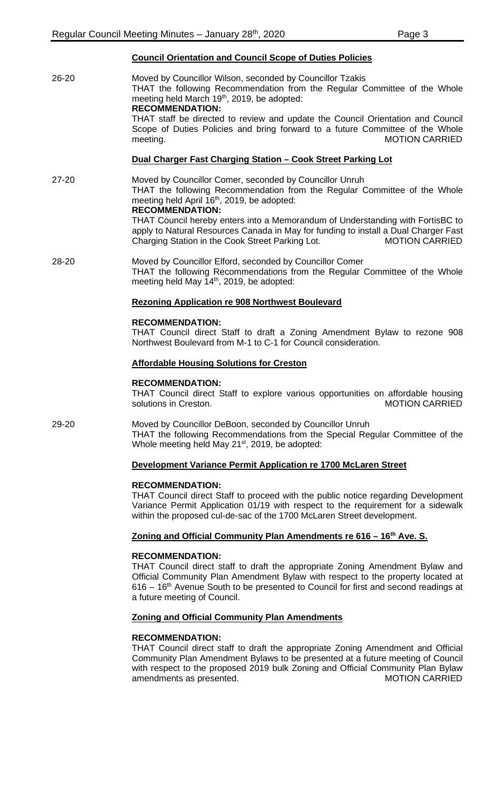## **Council Orientation and Council Scope of Duties Policies**

26-20 Moved by Councillor Wilson, seconded by Councillor Tzakis THAT the following Recommendation from the Regular Committee of the Whole meeting held March 19<sup>th</sup>, 2019, be adopted: **RECOMMENDATION:** THAT staff be directed to review and update the Council Orientation and Council Scope of Duties Policies and bring forward to a future Committee of the Whole meeting. MOTION CARRIED **Dual Charger Fast Charging Station – Cook Street Parking Lot** 27-20 Moved by Councillor Comer, seconded by Councillor Unruh THAT the following Recommendation from the Regular Committee of the Whole meeting held April 16<sup>th</sup>, 2019, be adopted:

## **RECOMMENDATION:**

THAT Council hereby enters into a Memorandum of Understanding with FortisBC to apply to Natural Resources Canada in May for funding to install a Dual Charger Fast Charging Station in the Cook Street Parking Lot. MOTION CARRIED

28-20 Moved by Councillor Elford, seconded by Councillor Comer THAT the following Recommendations from the Regular Committee of the Whole meeting held May 14<sup>th</sup>, 2019, be adopted:

#### **Rezoning Application re 908 Northwest Boulevard**

#### **RECOMMENDATION:**

THAT Council direct Staff to draft a Zoning Amendment Bylaw to rezone 908 Northwest Boulevard from M-1 to C-1 for Council consideration.

#### **Affordable Housing Solutions for Creston**

#### **RECOMMENDATION:**

THAT Council direct Staff to explore various opportunities on affordable housing solutions in Creston.

29-20 Moved by Councillor DeBoon, seconded by Councillor Unruh THAT the following Recommendations from the Special Regular Committee of the Whole meeting held May 21<sup>st</sup>, 2019, be adopted:

#### **Development Variance Permit Application re 1700 McLaren Street**

#### **RECOMMENDATION:**

THAT Council direct Staff to proceed with the public notice regarding Development Variance Permit Application 01/19 with respect to the requirement for a sidewalk within the proposed cul-de-sac of the 1700 McLaren Street development.

## **Zoning and Official Community Plan Amendments re 616 – 16th Ave. S.**

#### **RECOMMENDATION:**

THAT Council direct staff to draft the appropriate Zoning Amendment Bylaw and Official Community Plan Amendment Bylaw with respect to the property located at  $616 - 16$ <sup>th</sup> Avenue South to be presented to Council for first and second readings at a future meeting of Council.

#### **Zoning and Official Community Plan Amendments**

#### **RECOMMENDATION:**

THAT Council direct staff to draft the appropriate Zoning Amendment and Official Community Plan Amendment Bylaws to be presented at a future meeting of Council with respect to the proposed 2019 bulk Zoning and Official Community Plan Bylaw<br>MOTION CARRIED amendments as presented.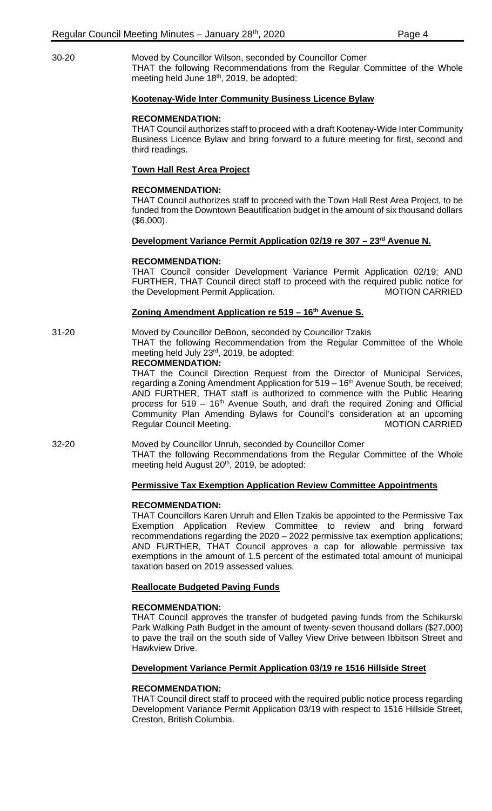30-20 Moved by Councillor Wilson, seconded by Councillor Comer THAT the following Recommendations from the Regular Committee of the Whole meeting held June 18<sup>th</sup>, 2019, be adopted:

#### **Kootenay-Wide Inter Community Business Licence Bylaw**

#### **RECOMMENDATION:**

THAT Council authorizes staff to proceed with a draft Kootenay-Wide Inter Community Business Licence Bylaw and bring forward to a future meeting for first, second and third readings.

## **Town Hall Rest Area Project**

#### **RECOMMENDATION:**

THAT Council authorizes staff to proceed with the Town Hall Rest Area Project, to be funded from the Downtown Beautification budget in the amount of six thousand dollars (\$6,000).

## **Development Variance Permit Application 02/19 re 307 – 23rd Avenue N.**

## **RECOMMENDATION:**

THAT Council consider Development Variance Permit Application 02/19; AND FURTHER, THAT Council direct staff to proceed with the required public notice for the Development Permit Application. The MOTION CARRIED

## **Zoning Amendment Application re 519 – 16th Avenue S.**

## 31-20 Moved by Councillor DeBoon, seconded by Councillor Tzakis THAT the following Recommendation from the Regular Committee of the Whole

#### meeting held July  $23<sup>rd</sup>$ , 2019, be adopted: **RECOMMENDATION:**

THAT the Council Direction Request from the Director of Municipal Services, regarding a Zoning Amendment Application for  $519 - 16<sup>th</sup>$  Avenue South, be received; AND FURTHER, THAT staff is authorized to commence with the Public Hearing process for  $519 - 16<sup>th</sup>$  Avenue South, and draft the required Zoning and Official Community Plan Amending Bylaws for Council's consideration at an upcoming Regular Council Meeting. The Council Meeting.

#### 32-20 Moved by Councillor Unruh, seconded by Councillor Comer

THAT the following Recommendations from the Regular Committee of the Whole meeting held August 20<sup>th</sup>, 2019, be adopted:

## **Permissive Tax Exemption Application Review Committee Appointments**

#### **RECOMMENDATION:**

THAT Councillors Karen Unruh and Ellen Tzakis be appointed to the Permissive Tax Exemption Application Review Committee to review and bring forward recommendations regarding the 2020 – 2022 permissive tax exemption applications; AND FURTHER, THAT Council approves a cap for allowable permissive tax exemptions in the amount of 1.5 percent of the estimated total amount of municipal taxation based on 2019 assessed values.

## **Reallocate Budgeted Paving Funds**

## **RECOMMENDATION:**

THAT Council approves the transfer of budgeted paving funds from the Schikurski Park Walking Path Budget in the amount of twenty-seven thousand dollars (\$27,000) to pave the trail on the south side of Valley View Drive between Ibbitson Street and Hawkview Drive.

#### **Development Variance Permit Application 03/19 re 1516 Hillside Street**

#### **RECOMMENDATION:**

THAT Council direct staff to proceed with the required public notice process regarding Development Variance Permit Application 03/19 with respect to 1516 Hillside Street, Creston, British Columbia.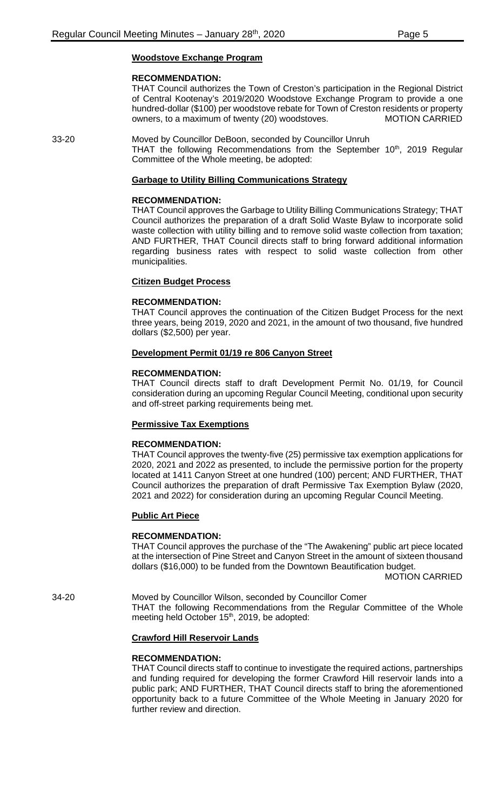## **Woodstove Exchange Program**

#### **RECOMMENDATION:**

THAT Council authorizes the Town of Creston's participation in the Regional District of Central Kootenay's 2019/2020 Woodstove Exchange Program to provide a one hundred-dollar (\$100) per woodstove rebate for Town of Creston residents or property owners, to a maximum of twenty (20) woodstoves. MOTION CARRIED

33-20 Moved by Councillor DeBoon, seconded by Councillor Unruh THAT the following Recommendations from the September  $10<sup>th</sup>$ , 2019 Regular Committee of the Whole meeting, be adopted:

## **Garbage to Utility Billing Communications Strategy**

#### **RECOMMENDATION:**

THAT Council approves the Garbage to Utility Billing Communications Strategy; THAT Council authorizes the preparation of a draft Solid Waste Bylaw to incorporate solid waste collection with utility billing and to remove solid waste collection from taxation; AND FURTHER, THAT Council directs staff to bring forward additional information regarding business rates with respect to solid waste collection from other municipalities.

## **Citizen Budget Process**

## **RECOMMENDATION:**

THAT Council approves the continuation of the Citizen Budget Process for the next three years, being 2019, 2020 and 2021, in the amount of two thousand, five hundred dollars (\$2,500) per year.

## **Development Permit 01/19 re 806 Canyon Street**

## **RECOMMENDATION:**

THAT Council directs staff to draft Development Permit No. 01/19, for Council consideration during an upcoming Regular Council Meeting, conditional upon security and off-street parking requirements being met.

#### **Permissive Tax Exemptions**

#### **RECOMMENDATION:**

THAT Council approves the twenty-five (25) permissive tax exemption applications for 2020, 2021 and 2022 as presented, to include the permissive portion for the property located at 1411 Canyon Street at one hundred (100) percent; AND FURTHER, THAT Council authorizes the preparation of draft Permissive Tax Exemption Bylaw (2020, 2021 and 2022) for consideration during an upcoming Regular Council Meeting.

## **Public Art Piece**

#### **RECOMMENDATION:**

THAT Council approves the purchase of the "The Awakening" public art piece located at the intersection of Pine Street and Canyon Street in the amount of sixteen thousand dollars (\$16,000) to be funded from the Downtown Beautification budget.

MOTION CARRIED

34-20 Moved by Councillor Wilson, seconded by Councillor Comer THAT the following Recommendations from the Regular Committee of the Whole meeting held October 15<sup>th</sup>, 2019, be adopted:

## **Crawford Hill Reservoir Lands**

## **RECOMMENDATION:**

THAT Council directs staff to continue to investigate the required actions, partnerships and funding required for developing the former Crawford Hill reservoir lands into a public park; AND FURTHER, THAT Council directs staff to bring the aforementioned opportunity back to a future Committee of the Whole Meeting in January 2020 for further review and direction.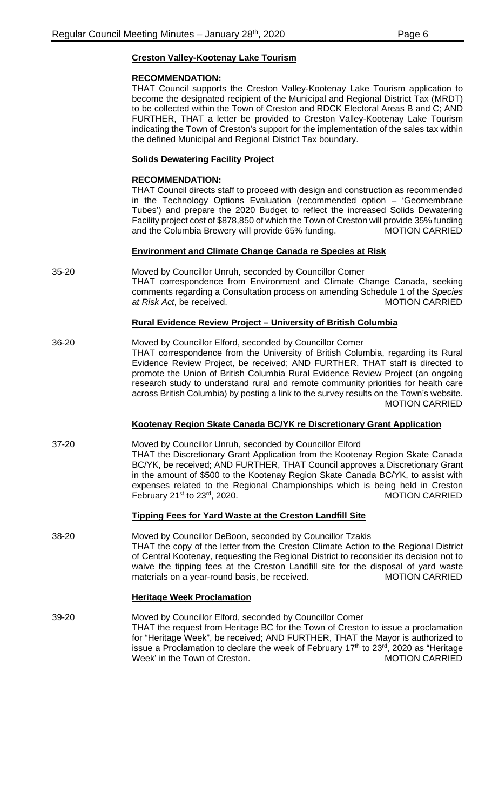# **Creston Valley-Kootenay Lake Tourism**

## **RECOMMENDATION:**

THAT Council supports the Creston Valley-Kootenay Lake Tourism application to become the designated recipient of the Municipal and Regional District Tax (MRDT) to be collected within the Town of Creston and RDCK Electoral Areas B and C; AND FURTHER, THAT a letter be provided to Creston Valley-Kootenay Lake Tourism indicating the Town of Creston's support for the implementation of the sales tax within the defined Municipal and Regional District Tax boundary.

# **Solids Dewatering Facility Project**

## **RECOMMENDATION:**

THAT Council directs staff to proceed with design and construction as recommended in the Technology Options Evaluation (recommended option – 'Geomembrane Tubes') and prepare the 2020 Budget to reflect the increased Solids Dewatering Facility project cost of \$878,850 of which the Town of Creston will provide 35% funding and the Columbia Brewery will provide 65% funding. MOTION CARRIED

## **Environment and Climate Change Canada re Species at Risk**

35-20 Moved by Councillor Unruh, seconded by Councillor Comer THAT correspondence from Environment and Climate Change Canada, seeking comments regarding a Consultation process on amending Schedule 1 of the *Species at Risk Act*, be received. MOTION CARRIED

## **Rural Evidence Review Project – University of British Columbia**

36-20 Moved by Councillor Elford, seconded by Councillor Comer THAT correspondence from the University of British Columbia, regarding its Rural Evidence Review Project, be received; AND FURTHER, THAT staff is directed to promote the Union of British Columbia Rural Evidence Review Project (an ongoing research study to understand rural and remote community priorities for health care across British Columbia) by posting a link to the survey results on the Town's website. MOTION CARRIED

## **Kootenay Region Skate Canada BC/YK re Discretionary Grant Application**

37-20 Moved by Councillor Unruh, seconded by Councillor Elford THAT the Discretionary Grant Application from the Kootenay Region Skate Canada BC/YK, be received; AND FURTHER, THAT Council approves a Discretionary Grant in the amount of \$500 to the Kootenay Region Skate Canada BC/YK, to assist with expenses related to the Regional Championships which is being held in Creston February 21<sup>st</sup> to 23<sup>rd</sup>, 2020. The state of the MOTION CARRIED

## **Tipping Fees for Yard Waste at the Creston Landfill Site**

38-20 Moved by Councillor DeBoon, seconded by Councillor Tzakis THAT the copy of the letter from the Creston Climate Action to the Regional District of Central Kootenay, requesting the Regional District to reconsider its decision not to waive the tipping fees at the Creston Landfill site for the disposal of yard waste<br>materials on a vear-round basis, be received. MOTION CARRIED materials on a year-round basis, be received.

## **Heritage Week Proclamation**

39-20 Moved by Councillor Elford, seconded by Councillor Comer THAT the request from Heritage BC for the Town of Creston to issue a proclamation for "Heritage Week", be received; AND FURTHER, THAT the Mayor is authorized to issue a Proclamation to declare the week of February  $17<sup>th</sup>$  to  $23<sup>rd</sup>$ , 2020 as "Heritage Week' in the Town of Creston. The MOTION CARRIED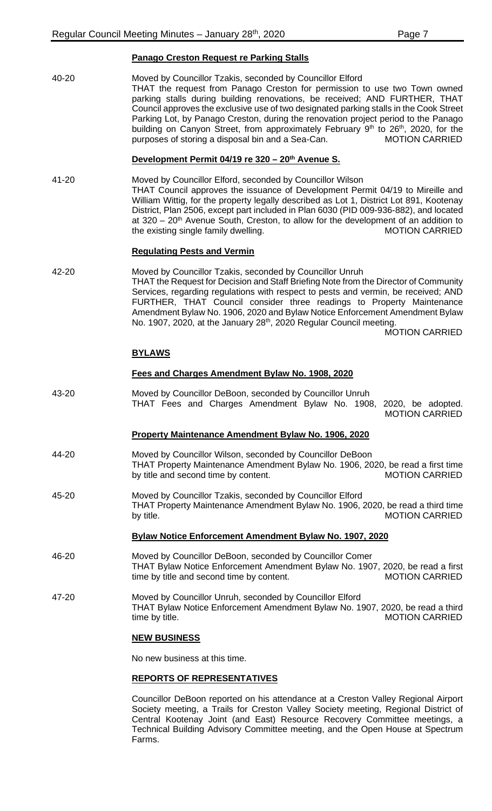## **Panago Creston Request re Parking Stalls**

| 40-20     | Moved by Councillor Tzakis, seconded by Councillor Elford<br>THAT the request from Panago Creston for permission to use two Town owned<br>parking stalls during building renovations, be received; AND FURTHER, THAT<br>Council approves the exclusive use of two designated parking stalls in the Cook Street<br>Parking Lot, by Panago Creston, during the renovation project period to the Panago<br>building on Canyon Street, from approximately February 9 <sup>th</sup> to 26 <sup>th</sup> , 2020, for the<br>purposes of storing a disposal bin and a Sea-Can.<br><b>MOTION CARRIED</b> |
|-----------|--------------------------------------------------------------------------------------------------------------------------------------------------------------------------------------------------------------------------------------------------------------------------------------------------------------------------------------------------------------------------------------------------------------------------------------------------------------------------------------------------------------------------------------------------------------------------------------------------|
|           | Development Permit 04/19 re 320 - 20th Avenue S.                                                                                                                                                                                                                                                                                                                                                                                                                                                                                                                                                 |
| $41 - 20$ | Moved by Councillor Elford, seconded by Councillor Wilson<br>THAT Council approves the issuance of Development Permit 04/19 to Mireille and<br>William Wittig, for the property legally described as Lot 1, District Lot 891, Kootenay<br>District, Plan 2506, except part included in Plan 6030 (PID 009-936-882), and located<br>at $320 - 20$ <sup>th</sup> Avenue South, Creston, to allow for the development of an addition to<br>the existing single family dwelling.<br><b>MOTION CARRIED</b>                                                                                            |
|           | <b>Regulating Pests and Vermin</b>                                                                                                                                                                                                                                                                                                                                                                                                                                                                                                                                                               |
| 42-20     | Moved by Councillor Tzakis, seconded by Councillor Unruh<br>THAT the Request for Decision and Staff Briefing Note from the Director of Community<br>Services, regarding regulations with respect to pests and vermin, be received; AND<br>FURTHER, THAT Council consider three readings to Property Maintenance<br>Amendment Bylaw No. 1906, 2020 and Bylaw Notice Enforcement Amendment Bylaw<br>No. 1907, 2020, at the January 28 <sup>th</sup> , 2020 Regular Council meeting.<br><b>MOTION CARRIED</b>                                                                                       |
|           | <u>BYLAWS</u>                                                                                                                                                                                                                                                                                                                                                                                                                                                                                                                                                                                    |
|           |                                                                                                                                                                                                                                                                                                                                                                                                                                                                                                                                                                                                  |
|           | Fees and Charges Amendment Bylaw No. 1908, 2020                                                                                                                                                                                                                                                                                                                                                                                                                                                                                                                                                  |
| 43-20     | Moved by Councillor DeBoon, seconded by Councillor Unruh<br>THAT Fees and Charges Amendment Bylaw No. 1908, 2020, be adopted.<br><b>MOTION CARRIED</b>                                                                                                                                                                                                                                                                                                                                                                                                                                           |
|           | <b>Property Maintenance Amendment Bylaw No. 1906, 2020</b>                                                                                                                                                                                                                                                                                                                                                                                                                                                                                                                                       |
| 44-20     | Moved by Councillor Wilson, seconded by Councillor DeBoon<br>THAT Property Maintenance Amendment Bylaw No. 1906, 2020, be read a first time<br>by title and second time by content.<br><b>MOTION CARRIED</b>                                                                                                                                                                                                                                                                                                                                                                                     |
| 45-20     | Moved by Councillor Tzakis, seconded by Councillor Elford<br>THAT Property Maintenance Amendment Bylaw No. 1906, 2020, be read a third time<br><b>MOTION CARRIED</b><br>by title.                                                                                                                                                                                                                                                                                                                                                                                                                |
|           | <b>Bylaw Notice Enforcement Amendment Bylaw No. 1907, 2020</b>                                                                                                                                                                                                                                                                                                                                                                                                                                                                                                                                   |
| 46-20     | Moved by Councillor DeBoon, seconded by Councillor Comer<br>THAT Bylaw Notice Enforcement Amendment Bylaw No. 1907, 2020, be read a first<br>time by title and second time by content.<br><b>MOTION CARRIED</b>                                                                                                                                                                                                                                                                                                                                                                                  |
| 47-20     | Moved by Councillor Unruh, seconded by Councillor Elford<br>THAT Bylaw Notice Enforcement Amendment Bylaw No. 1907, 2020, be read a third<br><b>MOTION CARRIED</b><br>time by title.                                                                                                                                                                                                                                                                                                                                                                                                             |
|           | <b>NEW BUSINESS</b>                                                                                                                                                                                                                                                                                                                                                                                                                                                                                                                                                                              |

**REPORTS OF REPRESENTATIVES**

Councillor DeBoon reported on his attendance at a Creston Valley Regional Airport Society meeting, a Trails for Creston Valley Society meeting, Regional District of Central Kootenay Joint (and East) Resource Recovery Committee meetings, a Technical Building Advisory Committee meeting, and the Open House at Spectrum Farms.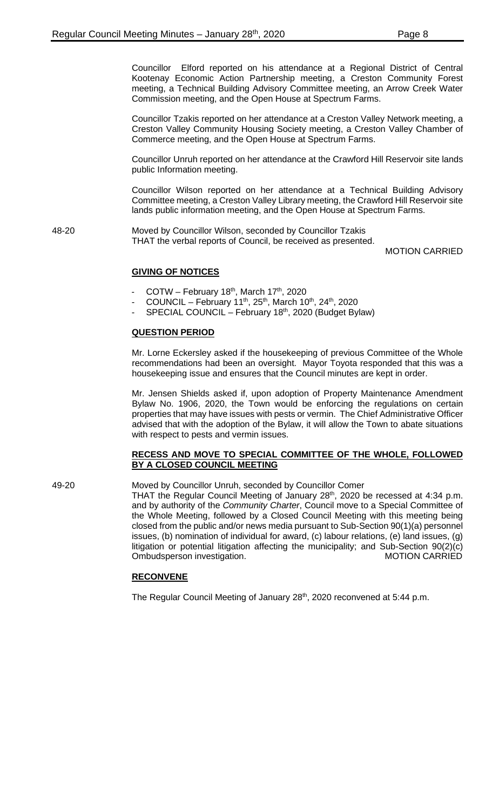Councillor Elford reported on his attendance at a Regional District of Central Kootenay Economic Action Partnership meeting, a Creston Community Forest meeting, a Technical Building Advisory Committee meeting, an Arrow Creek Water Commission meeting, and the Open House at Spectrum Farms.

Councillor Tzakis reported on her attendance at a Creston Valley Network meeting, a Creston Valley Community Housing Society meeting, a Creston Valley Chamber of Commerce meeting, and the Open House at Spectrum Farms.

Councillor Unruh reported on her attendance at the Crawford Hill Reservoir site lands public Information meeting.

Councillor Wilson reported on her attendance at a Technical Building Advisory Committee meeting, a Creston Valley Library meeting, the Crawford Hill Reservoir site lands public information meeting, and the Open House at Spectrum Farms.

48-20 Moved by Councillor Wilson, seconded by Councillor Tzakis THAT the verbal reports of Council, be received as presented.

MOTION CARRIED

## **GIVING OF NOTICES**

- COTW February 18<sup>th</sup>, March 17<sup>th</sup>, 2020
- COUNCIL February 11<sup>th</sup>, 25<sup>th</sup>, March 10<sup>th</sup>, 24<sup>th</sup>, 2020
- SPECIAL COUNCIL February 18<sup>th</sup>, 2020 (Budget Bylaw)

## **QUESTION PERIOD**

Mr. Lorne Eckersley asked if the housekeeping of previous Committee of the Whole recommendations had been an oversight. Mayor Toyota responded that this was a housekeeping issue and ensures that the Council minutes are kept in order.

Mr. Jensen Shields asked if, upon adoption of Property Maintenance Amendment Bylaw No. 1906, 2020, the Town would be enforcing the regulations on certain properties that may have issues with pests or vermin. The Chief Administrative Officer advised that with the adoption of the Bylaw, it will allow the Town to abate situations with respect to pests and vermin issues.

#### **RECESS AND MOVE TO SPECIAL COMMITTEE OF THE WHOLE, FOLLOWED BY A CLOSED COUNCIL MEETING**

49-20 Moved by Councillor Unruh, seconded by Councillor Comer

THAT the Regular Council Meeting of January 28<sup>th</sup>, 2020 be recessed at 4:34 p.m. and by authority of the *Community Charter*, Council move to a Special Committee of the Whole Meeting, followed by a Closed Council Meeting with this meeting being closed from the public and/or news media pursuant to Sub-Section 90(1)(a) personnel issues, (b) nomination of individual for award, (c) labour relations, (e) land issues, (g) litigation or potential litigation affecting the municipality; and Sub-Section 90(2)(c) Ombudsperson investigation. The matrix of the MOTION CARRIED

#### **RECONVENE**

The Regular Council Meeting of January 28<sup>th</sup>, 2020 reconvened at 5:44 p.m.